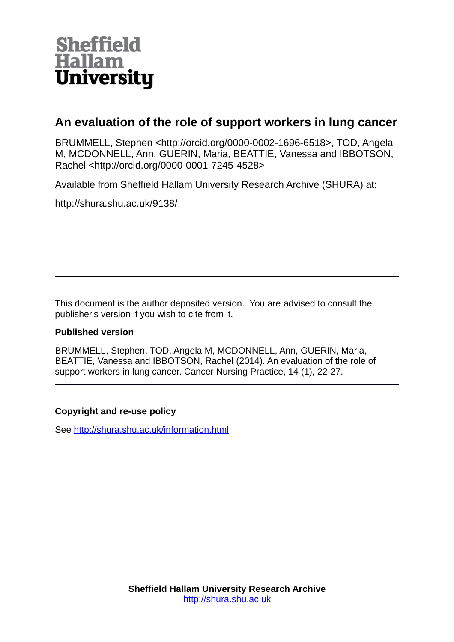

# **An evaluation of the role of support workers in lung cancer**

BRUMMELL, Stephen <http://orcid.org/0000-0002-1696-6518>, TOD, Angela M, MCDONNELL, Ann, GUERIN, Maria, BEATTIE, Vanessa and IBBOTSON, Rachel <http://orcid.org/0000-0001-7245-4528>

Available from Sheffield Hallam University Research Archive (SHURA) at:

http://shura.shu.ac.uk/9138/

This document is the author deposited version. You are advised to consult the publisher's version if you wish to cite from it.

#### **Published version**

BRUMMELL, Stephen, TOD, Angela M, MCDONNELL, Ann, GUERIN, Maria, BEATTIE, Vanessa and IBBOTSON, Rachel (2014). An evaluation of the role of support workers in lung cancer. Cancer Nursing Practice, 14 (1), 22-27.

#### **Copyright and re-use policy**

See<http://shura.shu.ac.uk/information.html>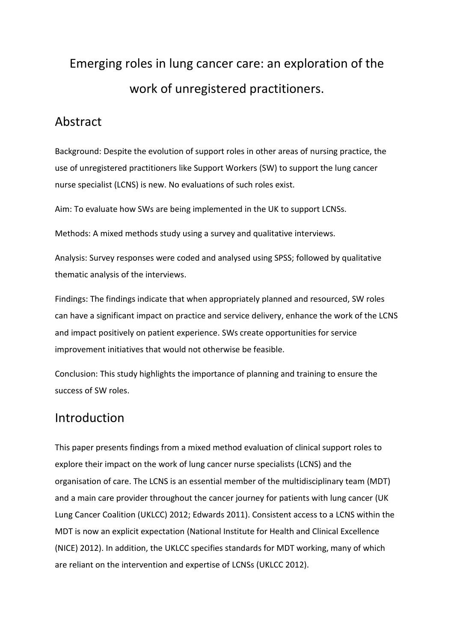# Emerging roles in lung cancer care: an exploration of the work of unregistered practitioners.

# Abstract

Background: Despite the evolution of support roles in other areas of nursing practice, the use of unregistered practitioners like Support Workers (SW) to support the lung cancer nurse specialist (LCNS) is new. No evaluations of such roles exist.

Aim: To evaluate how SWs are being implemented in the UK to support LCNSs.

Methods: A mixed methods study using a survey and qualitative interviews.

Analysis: Survey responses were coded and analysed using SPSS; followed by qualitative thematic analysis of the interviews.

Findings: The findings indicate that when appropriately planned and resourced, SW roles can have a significant impact on practice and service delivery, enhance the work of the LCNS and impact positively on patient experience. SWs create opportunities for service improvement initiatives that would not otherwise be feasible.

Conclusion: This study highlights the importance of planning and training to ensure the success of SW roles.

# Introduction

This paper presents findings from a mixed method evaluation of clinical support roles to explore their impact on the work of lung cancer nurse specialists (LCNS) and the organisation of care. The LCNS is an essential member of the multidisciplinary team (MDT) and a main care provider throughout the cancer journey for patients with lung cancer (UK Lung Cancer Coalition (UKLCC) 2012; Edwards 2011). Consistent access to a LCNS within the MDT is now an explicit expectation (National Institute for Health and Clinical Excellence (NICE) 2012). In addition, the UKLCC specifies standards for MDT working, many of which are reliant on the intervention and expertise of LCNSs (UKLCC 2012).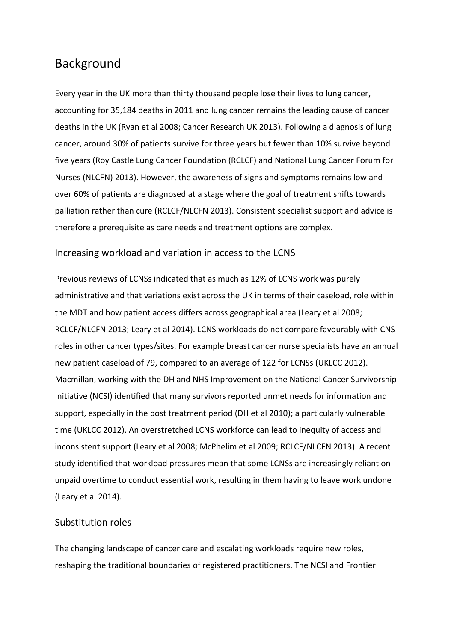# Background

Every year in the UK more than thirty thousand people lose their lives to lung cancer, accounting for 35,184 deaths in 2011 and lung cancer remains the leading cause of cancer deaths in the UK (Ryan et al 2008; Cancer Research UK 2013). Following a diagnosis of lung cancer, around 30% of patients survive for three years but fewer than 10% survive beyond five years (Roy Castle Lung Cancer Foundation (RCLCF) and National Lung Cancer Forum for Nurses (NLCFN) 2013). However, the awareness of signs and symptoms remains low and over 60% of patients are diagnosed at a stage where the goal of treatment shifts towards palliation rather than cure (RCLCF/NLCFN 2013). Consistent specialist support and advice is therefore a prerequisite as care needs and treatment options are complex.

### Increasing workload and variation in access to the LCNS

Previous reviews of LCNSs indicated that as much as 12% of LCNS work was purely administrative and that variations exist across the UK in terms of their caseload, role within the MDT and how patient access differs across geographical area (Leary et al 2008; RCLCF/NLCFN 2013; Leary et al 2014). LCNS workloads do not compare favourably with CNS roles in other cancer types/sites. For example breast cancer nurse specialists have an annual new patient caseload of 79, compared to an average of 122 for LCNSs (UKLCC 2012). Macmillan, working with the DH and NHS Improvement on the National Cancer Survivorship Initiative (NCSI) identified that many survivors reported unmet needs for information and support, especially in the post treatment period (DH et al 2010); a particularly vulnerable time (UKLCC 2012). An overstretched LCNS workforce can lead to inequity of access and inconsistent support (Leary et al 2008; McPhelim et al 2009; RCLCF/NLCFN 2013). A recent study identified that workload pressures mean that some LCNSs are increasingly reliant on unpaid overtime to conduct essential work, resulting in them having to leave work undone (Leary et al 2014).

#### Substitution roles

The changing landscape of cancer care and escalating workloads require new roles, reshaping the traditional boundaries of registered practitioners. The NCSI and Frontier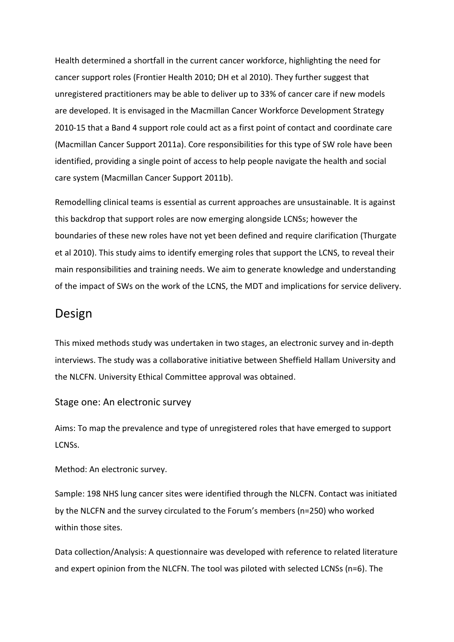Health determined a shortfall in the current cancer workforce, highlighting the need for cancer support roles (Frontier Health 2010; DH et al 2010). They further suggest that unregistered practitioners may be able to deliver up to 33% of cancer care if new models are developed. It is envisaged in the Macmillan Cancer Workforce Development Strategy 2010-15 that a Band 4 support role could act as a first point of contact and coordinate care (Macmillan Cancer Support 2011a). Core responsibilities for this type of SW role have been identified, providing a single point of access to help people navigate the health and social care system (Macmillan Cancer Support 2011b).

Remodelling clinical teams is essential as current approaches are unsustainable. It is against this backdrop that support roles are now emerging alongside LCNSs; however the boundaries of these new roles have not yet been defined and require clarification (Thurgate et al 2010). This study aims to identify emerging roles that support the LCNS, to reveal their main responsibilities and training needs. We aim to generate knowledge and understanding of the impact of SWs on the work of the LCNS, the MDT and implications for service delivery.

# Design

This mixed methods study was undertaken in two stages, an electronic survey and in-depth interviews. The study was a collaborative initiative between Sheffield Hallam University and the NLCFN. University Ethical Committee approval was obtained.

#### Stage one: An electronic survey

Aims: To map the prevalence and type of unregistered roles that have emerged to support LCNSs.

Method: An electronic survey.

Sample: 198 NHS lung cancer sites were identified through the NLCFN. Contact was initiated by the NLCFN and the survey circulated to the Forum's members (n=250) who worked within those sites.

Data collection/Analysis: A questionnaire was developed with reference to related literature and expert opinion from the NLCFN. The tool was piloted with selected LCNSs (n=6). The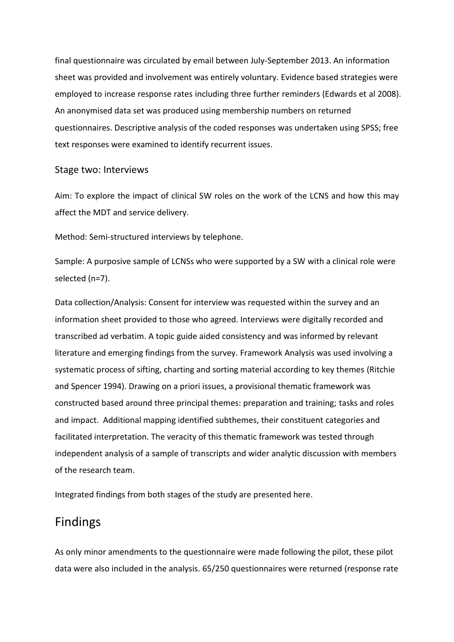final questionnaire was circulated by email between July-September 2013. An information sheet was provided and involvement was entirely voluntary. Evidence based strategies were employed to increase response rates including three further reminders (Edwards et al 2008). An anonymised data set was produced using membership numbers on returned questionnaires. Descriptive analysis of the coded responses was undertaken using SPSS; free text responses were examined to identify recurrent issues.

#### Stage two: Interviews

Aim: To explore the impact of clinical SW roles on the work of the LCNS and how this may affect the MDT and service delivery.

Method: Semi-structured interviews by telephone.

Sample: A purposive sample of LCNSs who were supported by a SW with a clinical role were selected (n=7).

Data collection/Analysis: Consent for interview was requested within the survey and an information sheet provided to those who agreed. Interviews were digitally recorded and transcribed ad verbatim. A topic guide aided consistency and was informed by relevant literature and emerging findings from the survey. Framework Analysis was used involving a systematic process of sifting, charting and sorting material according to key themes (Ritchie and Spencer 1994). Drawing on a priori issues, a provisional thematic framework was constructed based around three principal themes: preparation and training; tasks and roles and impact. Additional mapping identified subthemes, their constituent categories and facilitated interpretation. The veracity of this thematic framework was tested through independent analysis of a sample of transcripts and wider analytic discussion with members of the research team.

Integrated findings from both stages of the study are presented here.

# Findings

As only minor amendments to the questionnaire were made following the pilot, these pilot data were also included in the analysis. 65/250 questionnaires were returned (response rate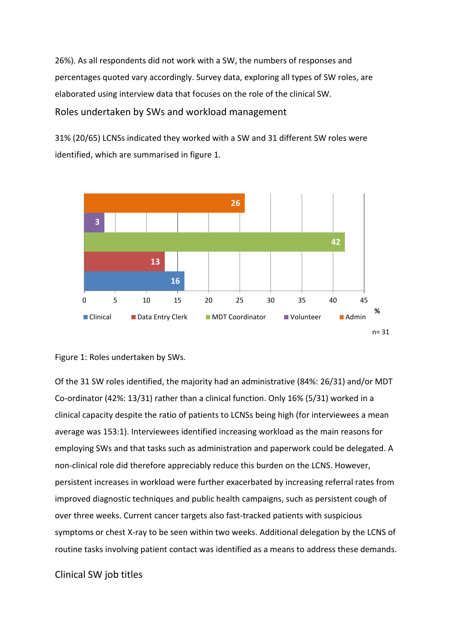26%). As all respondents did not work with a SW, the numbers of responses and percentages quoted vary accordingly. Survey data, exploring all types of SW roles, are elaborated using interview data that focuses on the role of the clinical SW.

Roles undertaken by SWs and workload management

31% (20/65) LCNSs indicated they worked with a SW and 31 different SW roles were identified, which are summarised in figure 1.





Of the 31 SW roles identified, the majority had an administrative (84%: 26/31) and/or MDT Co-ordinator (42%: 13/31) rather than a clinical function. Only 16% (5/31) worked in a clinical capacity despite the ratio of patients to LCNSs being high (for interviewees a mean average was 153:1). Interviewees identified increasing workload as the main reasons for employing SWs and that tasks such as administration and paperwork could be delegated. A non-clinical role did therefore appreciably reduce this burden on the LCNS. However, persistent increases in workload were further exacerbated by increasing referral rates from improved diagnostic techniques and public health campaigns, such as persistent cough of over three weeks. Current cancer targets also fast-tracked patients with suspicious symptoms or chest X-ray to be seen within two weeks. Additional delegation by the LCNS of routine tasks involving patient contact was identified as a means to address these demands.

### Clinical SW job titles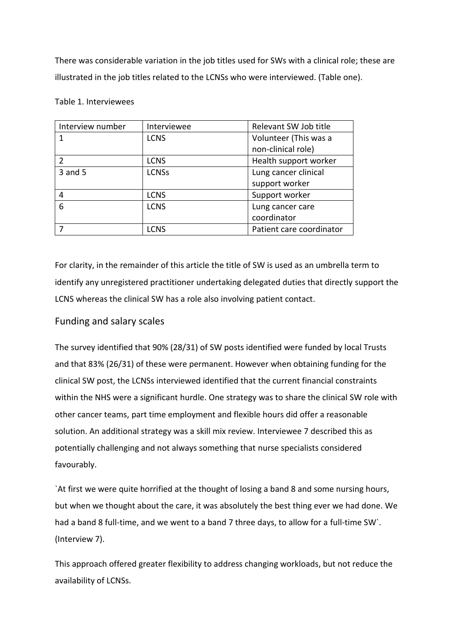There was considerable variation in the job titles used for SWs with a clinical role; these are illustrated in the job titles related to the LCNSs who were interviewed. (Table one).

#### Table 1. Interviewees

| Interview number | Interviewee  | Relevant SW Job title    |
|------------------|--------------|--------------------------|
|                  | <b>LCNS</b>  | Volunteer (This was a    |
|                  |              | non-clinical role)       |
|                  | <b>LCNS</b>  | Health support worker    |
| 3 and 5          | <b>LCNSs</b> | Lung cancer clinical     |
|                  |              | support worker           |
| 4                | <b>LCNS</b>  | Support worker           |
| 6                | <b>LCNS</b>  | Lung cancer care         |
|                  |              | coordinator              |
|                  | <b>LCNS</b>  | Patient care coordinator |

For clarity, in the remainder of this article the title of SW is used as an umbrella term to identify any unregistered practitioner undertaking delegated duties that directly support the LCNS whereas the clinical SW has a role also involving patient contact.

### Funding and salary scales

The survey identified that 90% (28/31) of SW posts identified were funded by local Trusts and that 83% (26/31) of these were permanent. However when obtaining funding for the clinical SW post, the LCNSs interviewed identified that the current financial constraints within the NHS were a significant hurdle. One strategy was to share the clinical SW role with other cancer teams, part time employment and flexible hours did offer a reasonable solution. An additional strategy was a skill mix review. Interviewee 7 described this as potentially challenging and not always something that nurse specialists considered favourably.

`At first we were quite horrified at the thought of losing a band 8 and some nursing hours, but when we thought about the care, it was absolutely the best thing ever we had done. We had a band 8 full-time, and we went to a band 7 three days, to allow for a full-time SW`. (Interview 7).

This approach offered greater flexibility to address changing workloads, but not reduce the availability of LCNSs.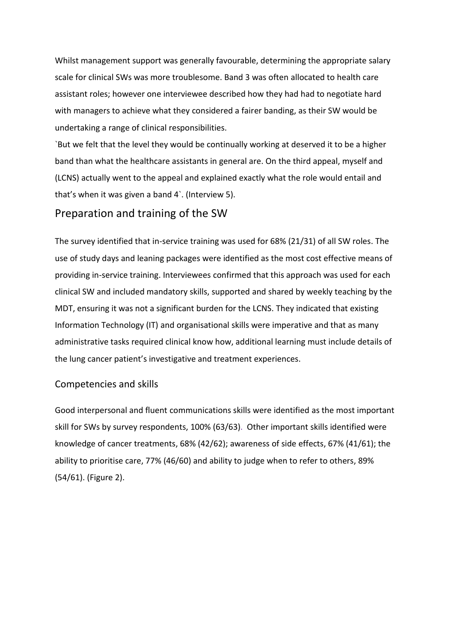Whilst management support was generally favourable, determining the appropriate salary scale for clinical SWs was more troublesome. Band 3 was often allocated to health care assistant roles; however one interviewee described how they had had to negotiate hard with managers to achieve what they considered a fairer banding, as their SW would be undertaking a range of clinical responsibilities.

`But we felt that the level they would be continually working at deserved it to be a higher band than what the healthcare assistants in general are. On the third appeal, myself and (LCNS) actually went to the appeal and explained exactly what the role would entail and that's when it was given a band 4`. (Interview 5).

### Preparation and training of the SW

The survey identified that in-service training was used for 68% (21/31) of all SW roles. The use of study days and leaning packages were identified as the most cost effective means of providing in-service training. Interviewees confirmed that this approach was used for each clinical SW and included mandatory skills, supported and shared by weekly teaching by the MDT, ensuring it was not a significant burden for the LCNS. They indicated that existing Information Technology (IT) and organisational skills were imperative and that as many administrative tasks required clinical know how, additional learning must include details of the lung cancer patient's investigative and treatment experiences.

#### Competencies and skills

Good interpersonal and fluent communications skills were identified as the most important skill for SWs by survey respondents, 100% (63/63). Other important skills identified were knowledge of cancer treatments, 68% (42/62); awareness of side effects, 67% (41/61); the ability to prioritise care, 77% (46/60) and ability to judge when to refer to others, 89% (54/61). (Figure 2).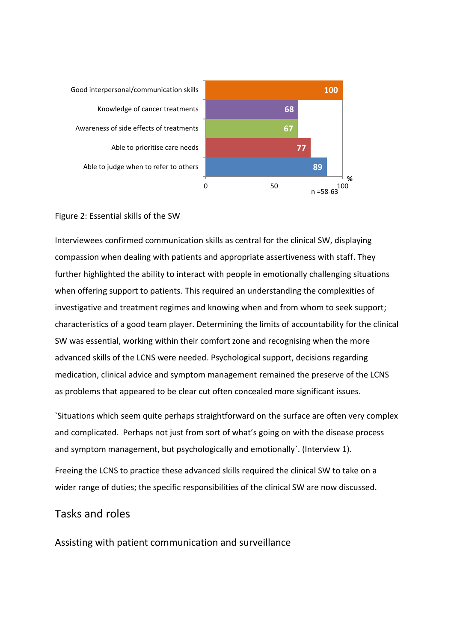Able to judge when to refer to others Able to prioritise care needs Awareness of side effects of treatments Knowledge of cancer treatments Good interpersonal/communication skills



#### Figure 2: Essential skills of the SW

Interviewees confirmed communication skills as central for the clinical SW, displaying compassion when dealing with patients and appropriate assertiveness with staff. They further highlighted the ability to interact with people in emotionally challenging situations when offering support to patients. This required an understanding the complexities of investigative and treatment regimes and knowing when and from whom to seek support; characteristics of a good team player. Determining the limits of accountability for the clinical SW was essential, working within their comfort zone and recognising when the more advanced skills of the LCNS were needed. Psychological support, decisions regarding medication, clinical advice and symptom management remained the preserve of the LCNS as problems that appeared to be clear cut often concealed more significant issues.

`Situations which seem quite perhaps straightforward on the surface are often very complex and complicated. Perhaps not just from sort of what's going on with the disease process and symptom management, but psychologically and emotionally`. (Interview 1).

Freeing the LCNS to practice these advanced skills required the clinical SW to take on a wider range of duties; the specific responsibilities of the clinical SW are now discussed.

### Tasks and roles

Assisting with patient communication and surveillance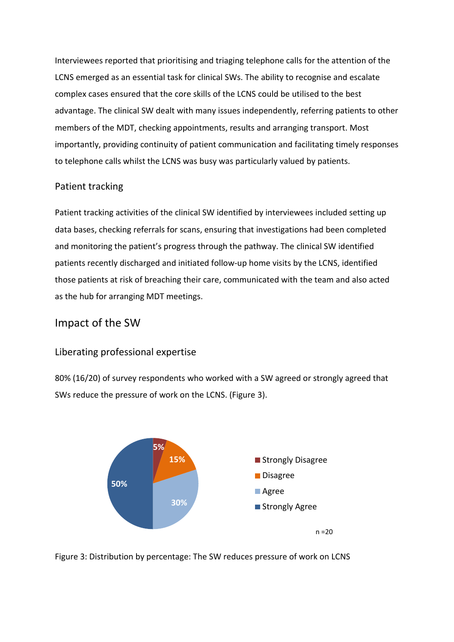Interviewees reported that prioritising and triaging telephone calls for the attention of the LCNS emerged as an essential task for clinical SWs. The ability to recognise and escalate complex cases ensured that the core skills of the LCNS could be utilised to the best advantage. The clinical SW dealt with many issues independently, referring patients to other members of the MDT, checking appointments, results and arranging transport. Most importantly, providing continuity of patient communication and facilitating timely responses to telephone calls whilst the LCNS was busy was particularly valued by patients.

### Patient tracking

Patient tracking activities of the clinical SW identified by interviewees included setting up data bases, checking referrals for scans, ensuring that investigations had been completed and monitoring the patient's progress through the pathway. The clinical SW identified patients recently discharged and initiated follow-up home visits by the LCNS, identified those patients at risk of breaching their care, communicated with the team and also acted as the hub for arranging MDT meetings.

## Impact of the SW

### Liberating professional expertise

80% (16/20) of survey respondents who worked with a SW agreed or strongly agreed that SWs reduce the pressure of work on the LCNS. (Figure 3).



Figure 3: Distribution by percentage: The SW reduces pressure of work on LCNS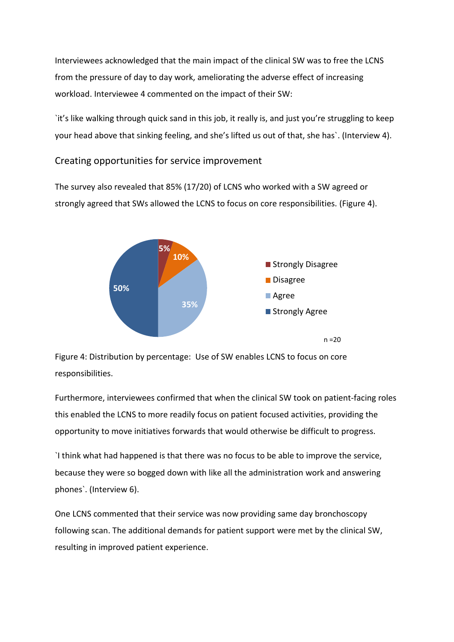Interviewees acknowledged that the main impact of the clinical SW was to free the LCNS from the pressure of day to day work, ameliorating the adverse effect of increasing workload. Interviewee 4 commented on the impact of their SW:

`it's like walking through quick sand in this job, it really is, and just you're struggling to keep your head above that sinking feeling, and she's lifted us out of that, she has`. (Interview 4).

#### Creating opportunities for service improvement

The survey also revealed that 85% (17/20) of LCNS who worked with a SW agreed or strongly agreed that SWs allowed the LCNS to focus on core responsibilities. (Figure 4).



Figure 4: Distribution by percentage: Use of SW enables LCNS to focus on core responsibilities.

Furthermore, interviewees confirmed that when the clinical SW took on patient-facing roles this enabled the LCNS to more readily focus on patient focused activities, providing the opportunity to move initiatives forwards that would otherwise be difficult to progress.

`I think what had happened is that there was no focus to be able to improve the service, because they were so bogged down with like all the administration work and answering phones`. (Interview 6).

One LCNS commented that their service was now providing same day bronchoscopy following scan. The additional demands for patient support were met by the clinical SW, resulting in improved patient experience.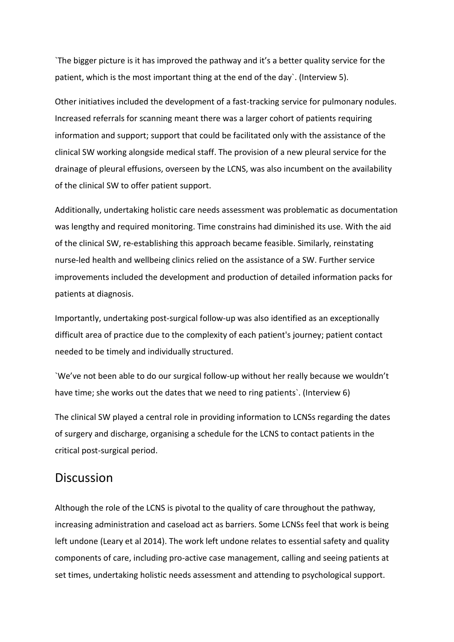`The bigger picture is it has improved the pathway and it's a better quality service for the patient, which is the most important thing at the end of the day`. (Interview 5).

Other initiatives included the development of a fast-tracking service for pulmonary nodules. Increased referrals for scanning meant there was a larger cohort of patients requiring information and support; support that could be facilitated only with the assistance of the clinical SW working alongside medical staff. The provision of a new pleural service for the drainage of pleural effusions, overseen by the LCNS, was also incumbent on the availability of the clinical SW to offer patient support.

Additionally, undertaking holistic care needs assessment was problematic as documentation was lengthy and required monitoring. Time constrains had diminished its use. With the aid of the clinical SW, re-establishing this approach became feasible. Similarly, reinstating nurse-led health and wellbeing clinics relied on the assistance of a SW. Further service improvements included the development and production of detailed information packs for patients at diagnosis.

Importantly, undertaking post-surgical follow-up was also identified as an exceptionally difficult area of practice due to the complexity of each patient's journey; patient contact needed to be timely and individually structured.

`We've not been able to do our surgical follow-up without her really because we wouldn't have time; she works out the dates that we need to ring patients'. (Interview 6)

The clinical SW played a central role in providing information to LCNSs regarding the dates of surgery and discharge, organising a schedule for the LCNS to contact patients in the critical post-surgical period.

### **Discussion**

Although the role of the LCNS is pivotal to the quality of care throughout the pathway, increasing administration and caseload act as barriers. Some LCNSs feel that work is being left undone (Leary et al 2014). The work left undone relates to essential safety and quality components of care, including pro-active case management, calling and seeing patients at set times, undertaking holistic needs assessment and attending to psychological support.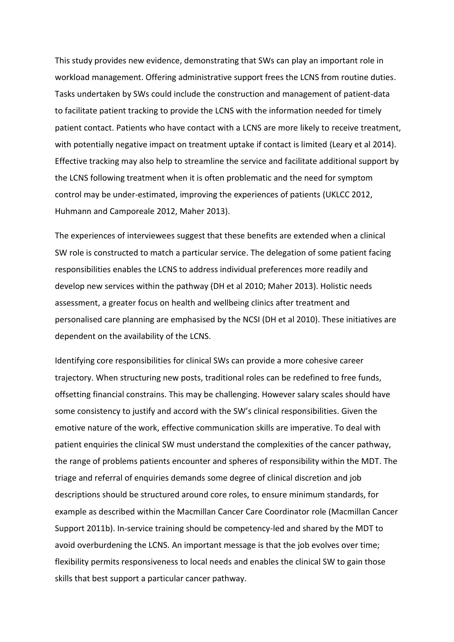This study provides new evidence, demonstrating that SWs can play an important role in workload management. Offering administrative support frees the LCNS from routine duties. Tasks undertaken by SWs could include the construction and management of patient-data to facilitate patient tracking to provide the LCNS with the information needed for timely patient contact. Patients who have contact with a LCNS are more likely to receive treatment, with potentially negative impact on treatment uptake if contact is limited (Leary et al 2014). Effective tracking may also help to streamline the service and facilitate additional support by the LCNS following treatment when it is often problematic and the need for symptom control may be under-estimated, improving the experiences of patients (UKLCC 2012, Huhmann and Camporeale 2012, Maher 2013).

The experiences of interviewees suggest that these benefits are extended when a clinical SW role is constructed to match a particular service. The delegation of some patient facing responsibilities enables the LCNS to address individual preferences more readily and develop new services within the pathway (DH et al 2010; Maher 2013). Holistic needs assessment, a greater focus on health and wellbeing clinics after treatment and personalised care planning are emphasised by the NCSI (DH et al 2010). These initiatives are dependent on the availability of the LCNS.

Identifying core responsibilities for clinical SWs can provide a more cohesive career trajectory. When structuring new posts, traditional roles can be redefined to free funds, offsetting financial constrains. This may be challenging. However salary scales should have some consistency to justify and accord with the SW's clinical responsibilities. Given the emotive nature of the work, effective communication skills are imperative. To deal with patient enquiries the clinical SW must understand the complexities of the cancer pathway, the range of problems patients encounter and spheres of responsibility within the MDT. The triage and referral of enquiries demands some degree of clinical discretion and job descriptions should be structured around core roles, to ensure minimum standards, for example as described within the Macmillan Cancer Care Coordinator role (Macmillan Cancer Support 2011b). In-service training should be competency-led and shared by the MDT to avoid overburdening the LCNS. An important message is that the job evolves over time; flexibility permits responsiveness to local needs and enables the clinical SW to gain those skills that best support a particular cancer pathway.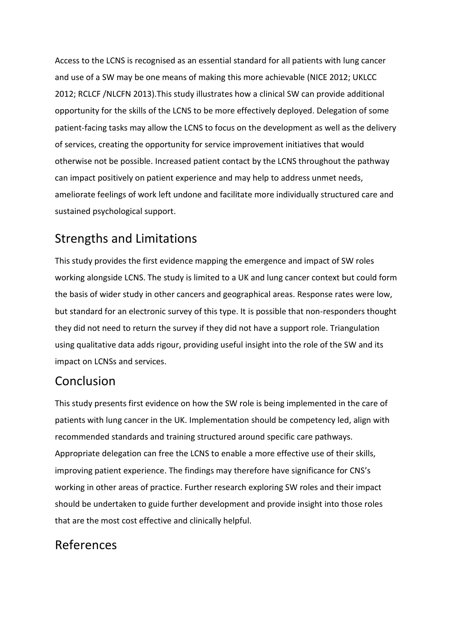Access to the LCNS is recognised as an essential standard for all patients with lung cancer and use of a SW may be one means of making this more achievable (NICE 2012; UKLCC 2012; RCLCF /NLCFN 2013).This study illustrates how a clinical SW can provide additional opportunity for the skills of the LCNS to be more effectively deployed. Delegation of some patient-facing tasks may allow the LCNS to focus on the development as well as the delivery of services, creating the opportunity for service improvement initiatives that would otherwise not be possible. Increased patient contact by the LCNS throughout the pathway can impact positively on patient experience and may help to address unmet needs, ameliorate feelings of work left undone and facilitate more individually structured care and sustained psychological support.

# Strengths and Limitations

This study provides the first evidence mapping the emergence and impact of SW roles working alongside LCNS. The study is limited to a UK and lung cancer context but could form the basis of wider study in other cancers and geographical areas. Response rates were low, but standard for an electronic survey of this type. It is possible that non-responders thought they did not need to return the survey if they did not have a support role. Triangulation using qualitative data adds rigour, providing useful insight into the role of the SW and its impact on LCNSs and services.

# Conclusion

This study presents first evidence on how the SW role is being implemented in the care of patients with lung cancer in the UK. Implementation should be competency led, align with recommended standards and training structured around specific care pathways. Appropriate delegation can free the LCNS to enable a more effective use of their skills, improving patient experience. The findings may therefore have significance for CNS's working in other areas of practice. Further research exploring SW roles and their impact should be undertaken to guide further development and provide insight into those roles that are the most cost effective and clinically helpful.

# References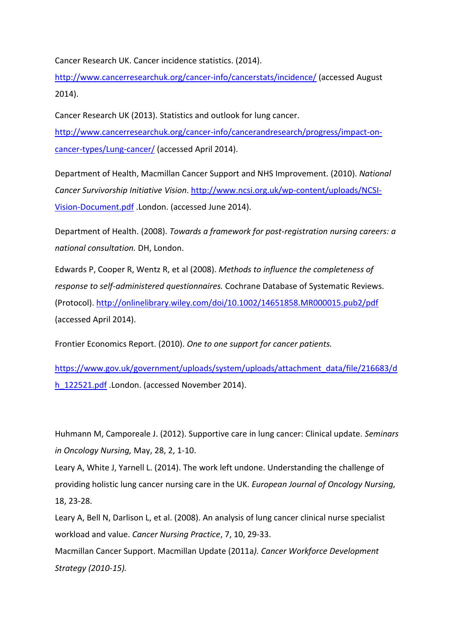Cancer Research UK. Cancer incidence statistics. (2014).

<http://www.cancerresearchuk.org/cancer-info/cancerstats/incidence/> (accessed August 2014).

Cancer Research UK (2013). Statistics and outlook for lung cancer. [http://www.cancerresearchuk.org/cancer-info/cancerandresearch/progress/impact-on](https://exchange.shu.ac.uk/owa/redir.aspx?C=WQ1H92kXeEWjsQhtAq0mVYHWpvsfVdAIfKM9lTVQ3CfcUvBREt4F4Z53nFHHRgVXTcv0yy93-28.&URL=http%3a%2f%2fwww.cancerresearchuk.org%2fcancer-info%2fcancerandresearch%2fprogress%2fimpact-on-cancer-types%2fLung-cancer%2f)[cancer-types/Lung-cancer/](https://exchange.shu.ac.uk/owa/redir.aspx?C=WQ1H92kXeEWjsQhtAq0mVYHWpvsfVdAIfKM9lTVQ3CfcUvBREt4F4Z53nFHHRgVXTcv0yy93-28.&URL=http%3a%2f%2fwww.cancerresearchuk.org%2fcancer-info%2fcancerandresearch%2fprogress%2fimpact-on-cancer-types%2fLung-cancer%2f) (accessed April 2014).

Department of Health, Macmillan Cancer Support and NHS Improvement. (2010). *National Cancer Survivorship Initiative Vision*. [http://www.ncsi.org.uk/wp-content/uploads/NCSI-](http://www.ncsi.org.uk/wp-content/uploads/NCSI-Vision-Document.pdf)[Vision-Document.pdf](http://www.ncsi.org.uk/wp-content/uploads/NCSI-Vision-Document.pdf) .London. (accessed June 2014).

Department of Health. (2008). *Towards a framework for post-registration nursing careers: a national consultation.* DH, London.

Edwards P, Cooper R, Wentz R, et al (2008). *Methods to influence the completeness of response to self-administered questionnaires.* Cochrane Database of Systematic Reviews. (Protocol).<http://onlinelibrary.wiley.com/doi/10.1002/14651858.MR000015.pub2/pdf> (accessed April 2014).

Frontier Economics Report. (2010). *One to one support for cancer patients.*

[https://www.gov.uk/government/uploads/system/uploads/attachment\\_data/file/216683/d](https://www.gov.uk/government/uploads/system/uploads/attachment_data/file/216683/dh_122521.pdf) h 122521.pdf .London. (accessed November 2014).

Huhmann M, Camporeale J. (2012). Supportive care in lung cancer: Clinical update. *Seminars in Oncology Nursing,* May, 28, 2, 1-10.

Leary A, White J, Yarnell L. (2014). The work left undone. Understanding the challenge of providing holistic lung cancer nursing care in the UK. *European Journal of Oncology Nursing,* 18, 23-28.

Leary A, Bell N, Darlison L, et al. (2008). An analysis of lung cancer clinical nurse specialist workload and value. *Cancer Nursing Practice*, 7, 10, 29-33.

Macmillan Cancer Support. Macmillan Update (2011a*). Cancer Workforce Development Strategy (2010-15).*